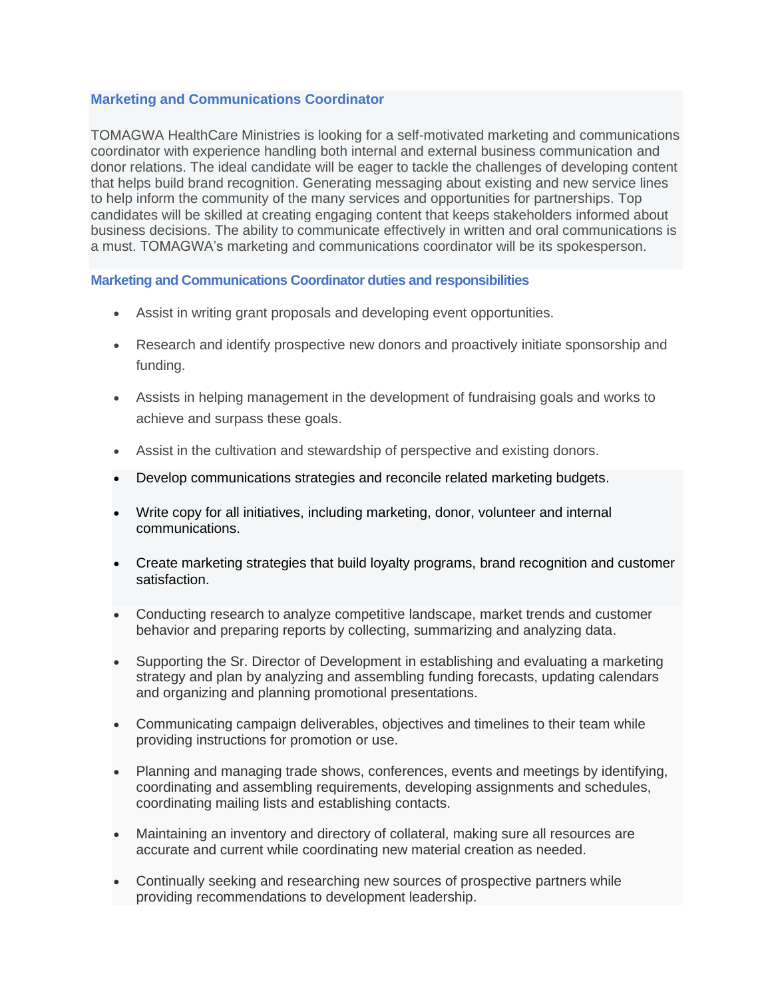## **Marketing and Communications Coordinator**

TOMAGWA HealthCare Ministries is looking for a self-motivated marketing and communications coordinator with experience handling both internal and external business communication and donor relations. The ideal candidate will be eager to tackle the challenges of developing content that helps build brand recognition. Generating messaging about existing and new service lines to help inform the community of the many services and opportunities for partnerships. Top candidates will be skilled at creating engaging content that keeps stakeholders informed about business decisions. The ability to communicate effectively in written and oral communications is a must. TOMAGWA's marketing and communications coordinator will be its spokesperson.

## **Marketing and Communications Coordinator duties and responsibilities**

- Assist in writing grant proposals and developing event opportunities.
- Research and identify prospective new donors and proactively initiate sponsorship and funding.
- Assists in helping management in the development of fundraising goals and works to achieve and surpass these goals.
- Assist in the cultivation and stewardship of perspective and existing donors.
- Develop communications strategies and reconcile related marketing budgets.
- Write copy for all initiatives, including marketing, donor, volunteer and internal communications.
- Create marketing strategies that build loyalty programs, brand recognition and customer satisfaction.
- Conducting research to analyze competitive landscape, market trends and customer behavior and preparing reports by collecting, summarizing and analyzing data.
- Supporting the Sr. Director of Development in establishing and evaluating a marketing strategy and plan by analyzing and assembling funding forecasts, updating calendars and organizing and planning promotional presentations.
- Communicating campaign deliverables, objectives and timelines to their team while providing instructions for promotion or use.
- Planning and managing trade shows, conferences, events and meetings by identifying, coordinating and assembling requirements, developing assignments and schedules, coordinating mailing lists and establishing contacts.
- Maintaining an inventory and directory of collateral, making sure all resources are accurate and current while coordinating new material creation as needed.
- Continually seeking and researching new sources of prospective partners while providing recommendations to development leadership.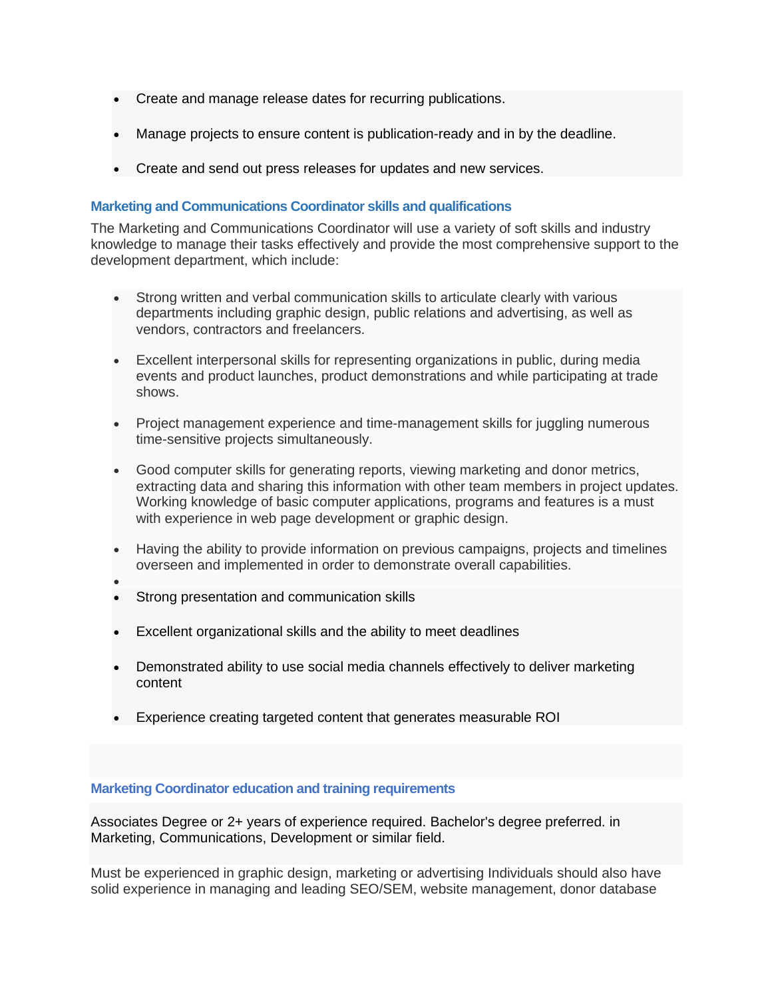- Create and manage release dates for recurring publications.
- Manage projects to ensure content is publication-ready and in by the deadline.
- Create and send out press releases for updates and new services.

## **Marketing and Communications Coordinator skills and qualifications**

The Marketing and Communications Coordinator will use a variety of soft skills and industry knowledge to manage their tasks effectively and provide the most comprehensive support to the development department, which include:

- Strong written and verbal communication skills to articulate clearly with various departments including graphic design, public relations and advertising, as well as vendors, contractors and freelancers.
- Excellent interpersonal skills for representing organizations in public, during media events and product launches, product demonstrations and while participating at trade shows.
- Project management experience and time-management skills for juggling numerous time-sensitive projects simultaneously.
- Good computer skills for generating reports, viewing marketing and donor metrics, extracting data and sharing this information with other team members in project updates. Working knowledge of basic computer applications, programs and features is a must with experience in web page development or graphic design.
- Having the ability to provide information on previous campaigns, projects and timelines overseen and implemented in order to demonstrate overall capabilities.
- - Strong presentation and communication skills
- Excellent organizational skills and the ability to meet deadlines
- Demonstrated ability to use social media channels effectively to deliver marketing content
- Experience creating targeted content that generates measurable ROI

## **Marketing Coordinator education and training requirements**

Associates Degree or 2+ years of experience required. Bachelor's degree preferred. in Marketing, Communications, Development or similar field.

Must be experienced in graphic design, marketing or advertising Individuals should also have solid experience in managing and leading SEO/SEM, website management, donor database